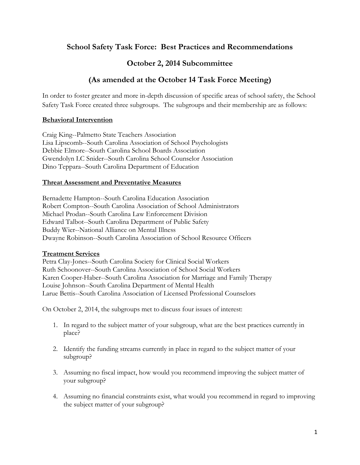## **School Safety Task Force: Best Practices and Recommendations**

## **October 2, 2014 Subcommittee**

# **(As amended at the October 14 Task Force Meeting)**

In order to foster greater and more in-depth discussion of specific areas of school safety, the School Safety Task Force created three subgroups. The subgroups and their membership are as follows:

### **Behavioral Intervention**

Craig King--Palmetto State Teachers Association Lisa Lipscomb--South Carolina Association of School Psychologists Debbie Elmore--South Carolina School Boards Association Gwendolyn LC Snider--South Carolina School Counselor Association Dino Teppara--South Carolina Department of Education

### **Threat Assessment and Preventative Measures**

Bernadette Hampton--South Carolina Education Association Robert Compton--South Carolina Association of School Administrators Michael Prodan--South Carolina Law Enforcement Division Edward Talbot--South Carolina Department of Public Safety Buddy Wier--National Alliance on Mental Illness Dwayne Robinson--South Carolina Association of School Resource Officers

#### **Treatment Services**

Petra Clay-Jones--South Carolina Society for Clinical Social Workers Ruth Schoonover--South Carolina Association of School Social Workers Karen Cooper-Haber--South Carolina Association for Marriage and Family Therapy Louise Johnson--South Carolina Department of Mental Health Larue Bettis--South Carolina Association of Licensed Professional Counselors

On October 2, 2014, the subgroups met to discuss four issues of interest:

- 1. In regard to the subject matter of your subgroup, what are the best practices currently in place?
- 2. Identify the funding streams currently in place in regard to the subject matter of your subgroup?
- 3. Assuming no fiscal impact, how would you recommend improving the subject matter of your subgroup?
- 4. Assuming no financial constraints exist, what would you recommend in regard to improving the subject matter of your subgroup?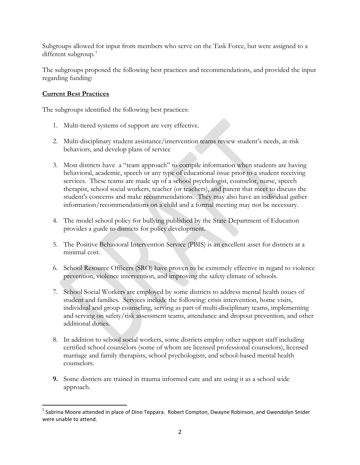Subgroups allowed for input from members who serve on the Task Force, but were assigned to a different subgroup. $^1$  $^1$ 

The subgroups proposed the following best practices and recommendations, and provided the input regarding funding:

### **Current Best Practices**

The subgroups identified the following best practices:

- 1. Multi-tiered systems of support are very effective.
- 2. Multi-disciplinary student assistance/intervention teams review student's needs, at-risk behaviors, and develop plans of service
- 3. Most districts have a "team approach" to compile information when students are having behavioral, academic, speech or any type of educational issue prior to a student receiving services. These teams are made up of a school psychologist, counselor, nurse, speech therapist, school social workers, teacher (or teachers), and parent that meet to discuss the student's concerns and make recommendations. They may also have an individual gather information/recommendations on a child and a formal meeting may not be necessary.
- 4. The model school policy for bullying published by the State Department of Education provides a guide to districts for policy development.
- 5. The Positive Behavioral Intervention Service (PBIS) is an excellent asset for districts at a minimal cost.
- 6. School Resource Officers (SRO) have proven to be extremely effective in regard to violence prevention, violence intervention, and improving the safety climate of schools.
- 7. School Social Workers are employed by some districts to address mental health issues of student and families. Services include the following: crisis intervention, home visits, individual and group counseling, serving as part of multi-disciplinary teams, implementing and serving on safety/risk assessment teams, attendance and dropout prevention, and other additional duties.
- 8. In addition to school social workers, some districts employ other support staff including certified school counselors (some of whom are licensed professional counselors), licensed marriage and family therapists, school psychologists, and school-based mental health counselors.
- **9.** Some districts are trained in trauma informed care and are using it as a school wide approach.

<span id="page-1-0"></span> $1$  Sabrina Moore attended in place of Dino Teppara. Robert Compton, Dwayne Robinson, and Gwendolyn Snider were unable to attend.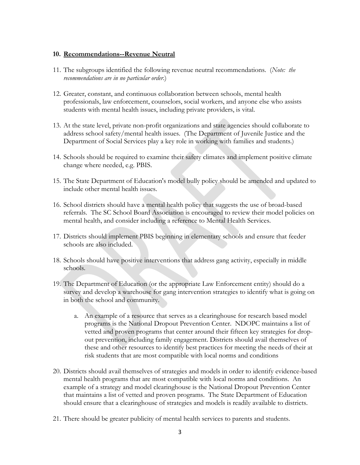#### **10. Recommendations--Revenue Neutral**

- 11. The subgroups identified the following revenue neutral recommendations. (*Note: the recommendations are in no particular order*.)
- 12. Greater, constant, and continuous collaboration between schools, mental health professionals, law enforcement, counselors, social workers, and anyone else who assists students with mental health issues, including private providers, is vital.
- 13. At the state level, private non-profit organizations and state agencies should collaborate to address school safety/mental health issues. (The Department of Juvenile Justice and the Department of Social Services play a key role in working with families and students.)
- 14. Schools should be required to examine their safety climates and implement positive climate change where needed, e.g. PBIS.
- 15. The State Department of Education's model bully policy should be amended and updated to include other mental health issues.
- 16. School districts should have a mental health policy that suggests the use of broad-based referrals. The SC School Board Association is encouraged to review their model policies on mental health, and consider including a reference to Mental Health Services.
- 17. Districts should implement PBIS beginning in elementary schools and ensure that feeder schools are also included.
- 18. Schools should have positive interventions that address gang activity, especially in middle schools.
- 19. The Department of Education (or the appropriate Law Enforcement entity) should do a survey and develop a warehouse for gang intervention strategies to identify what is going on in both the school and community.
	- a. An example of a resource that serves as a clearinghouse for research based model programs is the National Dropout Prevention Center. NDOPC maintains a list of vetted and proven programs that center around their fifteen key strategies for dropout prevention, including family engagement. Districts should avail themselves of these and other resources to identify best practices for meeting the needs of their at risk students that are most compatible with local norms and conditions
- 20. Districts should avail themselves of strategies and models in order to identify evidence-based mental health programs that are most compatible with local norms and conditions. An example of a strategy and model clearinghouse is the National Dropout Prevention Center that maintains a list of vetted and proven programs. The State Department of Education should ensure that a clearinghouse of strategies and models is readily available to districts.
- 21. There should be greater publicity of mental health services to parents and students.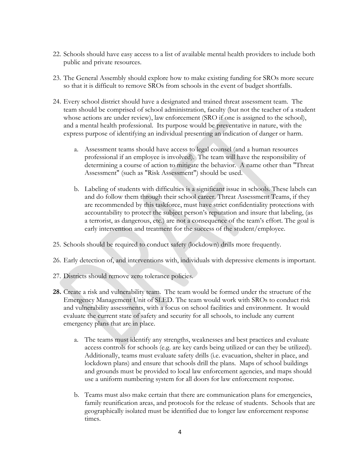- 22. Schools should have easy access to a list of available mental health providers to include both public and private resources.
- 23. The General Assembly should explore how to make existing funding for SROs more secure so that it is difficult to remove SROs from schools in the event of budget shortfalls.
- 24. Every school district should have a designated and trained threat assessment team. The team should be comprised of school administration, faculty (but not the teacher of a student whose actions are under review), law enforcement (SRO if one is assigned to the school), and a mental health professional. Its purpose would be preventative in nature, with the express purpose of identifying an individual presenting an indication of danger or harm.
	- a. Assessment teams should have access to legal counsel (and a human resources professional if an employee is involved). The team will have the responsibility of determining a course of action to mitigate the behavior. A name other than "Threat Assessment" (such as "Risk Assessment") should be used.
	- b. Labeling of students with difficulties is a significant issue in schools. These labels can and do follow them through their school career. Threat Assessment Teams, if they are recommended by this taskforce, must have strict confidentiality protections with accountability to protect the subject person's reputation and insure that labeling, (as a terrorist, as dangerous, etc.) are not a consequence of the team's effort. The goal is early intervention and treatment for the success of the student/employee.
- 25. Schools should be required to conduct safety (lockdown) drills more frequently.
- 26. Early detection of, and interventions with, individuals with depressive elements is important.
- 27. Districts should remove zero tolerance policies.
- **28.** Create a risk and vulnerability team. The team would be formed under the structure of the Emergency Management Unit of SLED. The team would work with SROs to conduct risk and vulnerability assessments, with a focus on school facilities and environment. It would evaluate the current state of safety and security for all schools, to include any current emergency plans that are in place.
	- a. The teams must identify any strengths, weaknesses and best practices and evaluate access controls for schools (e.g. are key cards being utilized or can they be utilized). Additionally, teams must evaluate safety drills (i.e. evacuation, shelter in place, and lockdown plans) and ensure that schools drill the plans. Maps of school buildings and grounds must be provided to local law enforcement agencies, and maps should use a uniform numbering system for all doors for law enforcement response.
	- b. Teams must also make certain that there are communication plans for emergencies, family reunification areas, and protocols for the release of students. Schools that are geographically isolated must be identified due to longer law enforcement response times.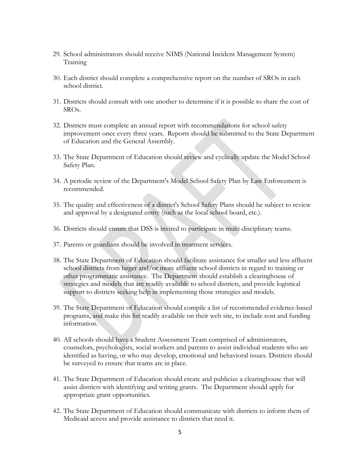- 29. School administrators should receive NIMS (National Incident Management System) Training
- 30. Each district should complete a comprehensive report on the number of SROs in each school district.
- 31. Districts should consult with one another to determine if it is possible to share the cost of SROs.
- 32. Districts must complete an annual report with recommendations for school safety improvement once every three years. Reports should be submitted to the State Department of Education and the General Assembly.
- 33. The State Department of Education should review and cyclically update the Model School Safety Plan.
- 34. A periodic review of the Department's Model School Safety Plan by Law Enforcement is recommended.
- 35. The quality and effectiveness of a district's School Safety Plans should be subject to review and approval by a designated entity (such as the local school board, etc.).
- 36. Districts should ensure that DSS is invited to participate in multi-disciplinary teams.
- 37. Parents or guardians should be involved in treatment services.
- 38. The State Department of Education should facilitate assistance for smaller and less affluent school districts from larger and/or more affluent school districts in regard to training or other programmatic assistance. The Department should establish a clearinghouse of strategies and models that are readily available to school districts, and provide logistical support to districts seeking help in implementing those strategies and models.
- 39. The State Department of Education should compile a list of recommended evidence-based programs, and make this list readily available on their web site, to include cost and funding information.
- 40. All schools should have a Student Assessment Team comprised of administrators, counselors, psychologists, social workers and parents to assist individual students who are identified as having, or who may develop, emotional and behavioral issues. Districts should be surveyed to ensure that teams are in place.
- 41. The State Department of Education should create and publicize a clearinghouse that will assist districts with identifying and writing grants. The Department should apply for appropriate grant opportunities.
- 42. The State Department of Education should communicate with districts to inform them of Medicaid access and provide assistance to districts that need it.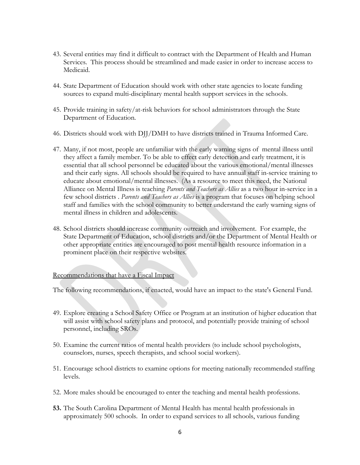- 43. Several entities may find it difficult to contract with the Department of Health and Human Services. This process should be streamlined and made easier in order to increase access to Medicaid.
- 44. State Department of Education should work with other state agencies to locate funding sources to expand multi-disciplinary mental health support services in the schools.
- 45. Provide training in safety/at-risk behaviors for school administrators through the State Department of Education.
- 46. Districts should work with DJJ/DMH to have districts trained in Trauma Informed Care.
- 47. Many, if not most, people are unfamiliar with the early warning signs of mental illness until they affect a family member. To be able to effect early detection and early treatment, it is essential that all school personnel be educated about the various emotional/mental illnesses and their early signs. All schools should be required to have annual staff in-service training to educate about emotional/mental illnesses. (As a resource to meet this need, the National Alliance on Mental Illness is teaching *Parents and Teachers as Allies* as a two hour in-service in a few school districts . *Parents and Teachers as Allies* is a program that focuses on helping school staff and families with the school community to better understand the early warning signs of mental illness in children and adolescents.
- 48. School districts should increase community outreach and involvement. For example, the State Department of Education, school districts and/or the Department of Mental Health or other appropriate entities are encouraged to post mental health resource information in a prominent place on their respective websites.

#### Recommendations that have a Fiscal Impact

The following recommendations, if enacted, would have an impact to the state's General Fund.

- 49. Explore creating a School Safety Office or Program at an institution of higher education that will assist with school safety plans and protocol, and potentially provide training of school personnel, including SROs.
- 50. Examine the current ratios of mental health providers (to include school psychologists, counselors, nurses, speech therapists, and school social workers).
- 51. Encourage school districts to examine options for meeting nationally recommended staffing levels.
- 52. More males should be encouraged to enter the teaching and mental health professions.
- **53.** The South Carolina Department of Mental Health has mental health professionals in approximately 500 schools. In order to expand services to all schools, various funding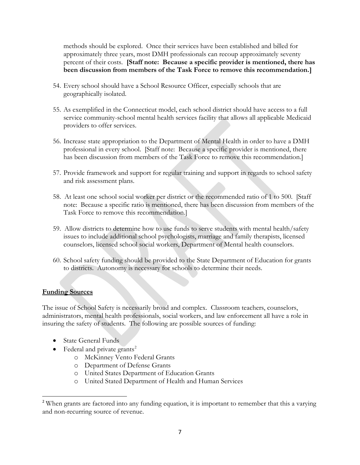methods should be explored. Once their services have been established and billed for approximately three years, most DMH professionals can recoup approximately seventy percent of their costs. **[Staff note: Because a specific provider is mentioned, there has been discussion from members of the Task Force to remove this recommendation.]** 

- 54. Every school should have a School Resource Officer, especially schools that are geographically isolated.
- 55. As exemplified in the Connecticut model, each school district should have access to a full service community-school mental health services facility that allows all applicable Medicaid providers to offer services.
- 56. Increase state appropriation to the Department of Mental Health in order to have a DMH professional in every school. [Staff note: Because a specific provider is mentioned, there has been discussion from members of the Task Force to remove this recommendation.]
- 57. Provide framework and support for regular training and support in regards to school safety and risk assessment plans.
- 58. At least one school social worker per district or the recommended ratio of 1 to 500. [Staff note: Because a specific ratio is mentioned, there has been discussion from members of the Task Force to remove this recommendation.]
- 59. Allow districts to determine how to use funds to serve students with mental health/safety issues to include additional school psychologists, marriage and family therapists, licensed counselors, licensed school social workers, Department of Mental health counselors.
- 60. School safety funding should be provided to the State Department of Education for grants to districts. Autonomy is necessary for schools to determine their needs.

#### **Funding Sources**

The issue of School Safety is necessarily broad and complex. Classroom teachers, counselors, administrators, mental health professionals, social workers, and law enforcement all have a role in insuring the safety of students. The following are possible sources of funding:

- State General Funds
- Federal and private grants<sup>[2](#page-6-0)</sup>
	- o McKinney Vento Federal Grants
	- o Department of Defense Grants
	- o United States Department of Education Grants
	- o United Stated Department of Health and Human Services

<span id="page-6-0"></span><sup>&</sup>lt;sup>2</sup> When grants are factored into any funding equation, it is important to remember that this a varying and non-recurring source of revenue.